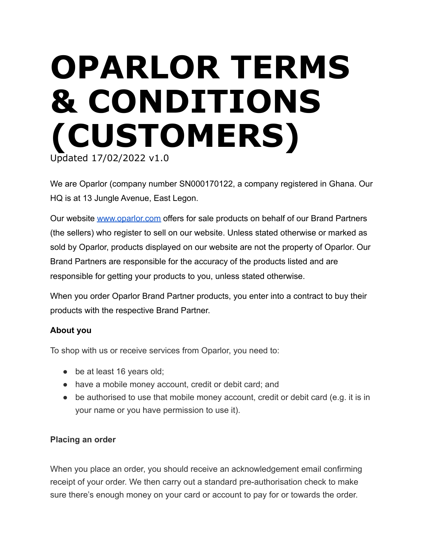# **OPARLOR TERMS & CONDITIONS (CUSTOMERS)** Updated 17/02/2022 v1.0

We are Oparlor (company number SN000170122, a company registered in Ghana. Our HQ is at 13 Jungle Avenue, East Legon.

Our website [www.oparlor.com](http://www.oparlor.com) offers for sale products on behalf of our Brand Partners (the sellers) who register to sell on our website. Unless stated otherwise or marked as sold by Oparlor, products displayed on our website are not the property of Oparlor. Our Brand Partners are responsible for the accuracy of the products listed and are responsible for getting your products to you, unless stated otherwise.

When you order Oparlor Brand Partner products, you enter into a contract to buy their products with the respective Brand Partner.

# **About you**

To shop with us or receive services from Oparlor, you need to:

- be at least 16 years old;
- have a mobile money account, credit or debit card; and
- be authorised to use that mobile money account, credit or debit card (e.g. it is in your name or you have permission to use it).

# **Placing an order**

When you place an order, you should receive an acknowledgement email confirming receipt of your order. We then carry out a standard pre-authorisation check to make sure there's enough money on your card or account to pay for or towards the order.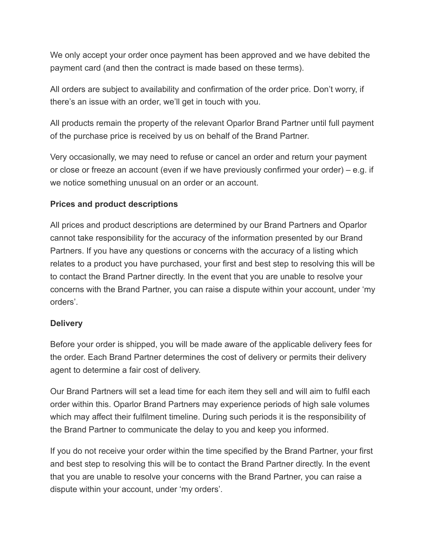We only accept your order once payment has been approved and we have debited the payment card (and then the contract is made based on these terms).

All orders are subject to availability and confirmation of the order price. Don't worry, if there's an issue with an order, we'll get in touch with you.

All products remain the property of the relevant Oparlor Brand Partner until full payment of the purchase price is received by us on behalf of the Brand Partner.

Very occasionally, we may need to refuse or cancel an order and return your payment or close or freeze an account (even if we have previously confirmed your order) – e.g. if we notice something unusual on an order or an account.

# **Prices and product descriptions**

All prices and product descriptions are determined by our Brand Partners and Oparlor cannot take responsibility for the accuracy of the information presented by our Brand Partners. If you have any questions or concerns with the accuracy of a listing which relates to a product you have purchased, your first and best step to resolving this will be to contact the Brand Partner directly. In the event that you are unable to resolve your concerns with the Brand Partner, you can raise a dispute within your account, under 'my orders'.

# **Delivery**

Before your order is shipped, you will be made aware of the applicable delivery fees for the order. Each Brand Partner determines the cost of delivery or permits their delivery agent to determine a fair cost of delivery.

Our Brand Partners will set a lead time for each item they sell and will aim to fulfil each order within this. Oparlor Brand Partners may experience periods of high sale volumes which may affect their fulfilment timeline. During such periods it is the responsibility of the Brand Partner to communicate the delay to you and keep you informed.

If you do not receive your order within the time specified by the Brand Partner, your first and best step to resolving this will be to contact the Brand Partner directly. In the event that you are unable to resolve your concerns with the Brand Partner, you can raise a dispute within your account, under 'my orders'.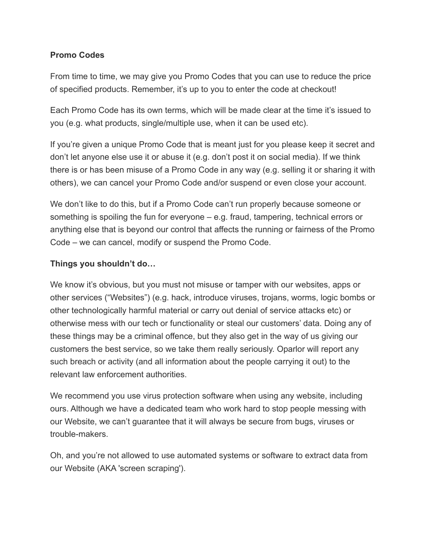# **Promo Codes**

From time to time, we may give you Promo Codes that you can use to reduce the price of specified products. Remember, it's up to you to enter the code at checkout!

Each Promo Code has its own terms, which will be made clear at the time it's issued to you (e.g. what products, single/multiple use, when it can be used etc).

If you're given a unique Promo Code that is meant just for you please keep it secret and don't let anyone else use it or abuse it (e.g. don't post it on social media). If we think there is or has been misuse of a Promo Code in any way (e.g. selling it or sharing it with others), we can cancel your Promo Code and/or suspend or even close your account.

We don't like to do this, but if a Promo Code can't run properly because someone or something is spoiling the fun for everyone – e.g. fraud, tampering, technical errors or anything else that is beyond our control that affects the running or fairness of the Promo Code – we can cancel, modify or suspend the Promo Code.

# **Things you shouldn't do…**

We know it's obvious, but you must not misuse or tamper with our websites, apps or other services ("Websites") (e.g. hack, introduce viruses, trojans, worms, logic bombs or other technologically harmful material or carry out denial of service attacks etc) or otherwise mess with our tech or functionality or steal our customers' data. Doing any of these things may be a criminal offence, but they also get in the way of us giving our customers the best service, so we take them really seriously. Oparlor will report any such breach or activity (and all information about the people carrying it out) to the relevant law enforcement authorities.

We recommend you use virus protection software when using any website, including ours. Although we have a dedicated team who work hard to stop people messing with our Website, we can't guarantee that it will always be secure from bugs, viruses or trouble-makers.

Oh, and you're not allowed to use automated systems or software to extract data from our Website (AKA 'screen scraping').